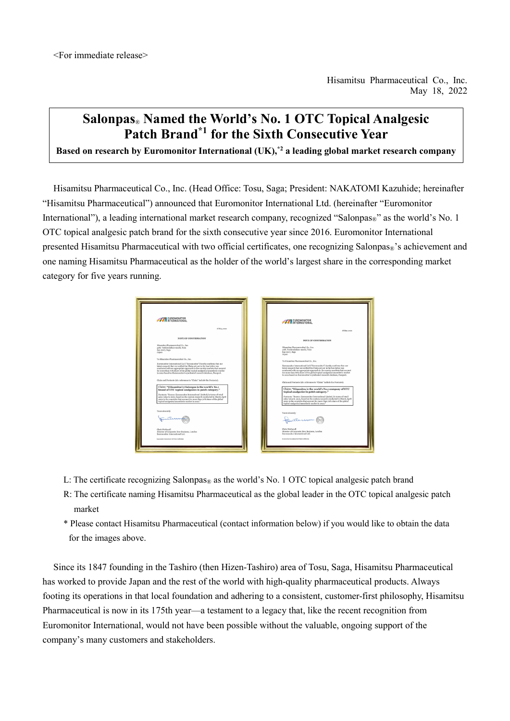## **Salonpas**® **Named the World's No. 1 OTC Topical Analgesic Patch Brand\*1 for the Sixth Consecutive Year**

**Based on research by Euromonitor International (UK),\*2 a leading global market research company**

Hisamitsu Pharmaceutical Co., Inc. (Head Office: Tosu, Saga; President: NAKATOMI Kazuhide; hereinafter "Hisamitsu Pharmaceutical") announced that Euromonitor International Ltd. (hereinafter "Euromonitor International"), a leading international market research company, recognized "Salonpas®" as the world's No. 1 OTC topical analgesic patch brand for the sixth consecutive year since 2016. Euromonitor International presented Hisamitsu Pharmaceutical with two official certificates, one recognizing Salonpas®'s achievement and one naming Hisamitsu Pharmaceutical as the holder of the world's largest share in the corresponding market category for five years running.

| EUROMONITOR                                                                                                                                                                                                                                                                                                                                                                                                                       | EUROMONITOR                                                                                                                                                                                                                                                                                                                                                                                                                       |
|-----------------------------------------------------------------------------------------------------------------------------------------------------------------------------------------------------------------------------------------------------------------------------------------------------------------------------------------------------------------------------------------------------------------------------------|-----------------------------------------------------------------------------------------------------------------------------------------------------------------------------------------------------------------------------------------------------------------------------------------------------------------------------------------------------------------------------------------------------------------------------------|
| 18 May, 2022                                                                                                                                                                                                                                                                                                                                                                                                                      | 18 May, 2022                                                                                                                                                                                                                                                                                                                                                                                                                      |
| <b>NOTE OF CONFIRMATION</b>                                                                                                                                                                                                                                                                                                                                                                                                       | <b>NOTE OF CONFIRMATION</b>                                                                                                                                                                                                                                                                                                                                                                                                       |
| Hisamitsu Pharmaceutical Co., Inc.<br>408. Toshirodaikan-machi, Tosa<br>841-0017, Saga<br>Japon                                                                                                                                                                                                                                                                                                                                   | Hisamitaz Pharmaceutical Co., Inc.<br>408, Toshirodaikan-machi, Tosu<br>841-0017, Saga.<br><b>Japan</b>                                                                                                                                                                                                                                                                                                                           |
| To Hisamitsu Pharmaceutical Co., Inc.<br>Euromonitor International Ltd ("Euromonitor") hereby confirms that our<br>latest research that we verified the Claim set out in the box below was<br>conducted with an appropriate approach in the country markets that account<br>for more than 70% share of the global topical analgesics/anaesthetic market<br>in 2021 based on Euromonitor's syndicated research database. Passport. | To Hisaniten Pharmaceutical Co., Inc.<br>Euromonitor International Ltd ("Euromonitor") hereby confirms that our<br>latest research that we verified the Claim set out in the box below was<br>conducted with an appropriate approach in the country markets that account<br>for more than 70% share of the global topical analgesics/anaesthetic market<br>in 2021 based on Euromonitor's syndicated research database, Passport. |
| Claim and Footnote (nb: references to "Claim" include the Footnote).                                                                                                                                                                                                                                                                                                                                                              | Claim and Footnote (nb: references to "Claim" include the Footnote).                                                                                                                                                                                                                                                                                                                                                              |
| Claim: "(Hisamitsu's) Salonpas is the world's No.1<br>brand of OTC topical analgesics in patch category."<br>Footnote: "Source: Euromonitor International Limited; in terms of retail<br>sales value in 2021, based on the custom research conducted in March-April<br>2022 in the countries that account for more than 70% share of the global<br>topical analgesics/anaesthetic market in 2021."                                | Claim: "Hisamitsu is the world's No.1 company of OTC<br>topical analgesics in patch category."<br>Engtrate: "Source: Euromonitor International Limited: in terms of retail<br>sales value in 2021, based on the custom research conducted in March-Arcil<br>2022 in the countries that account for more than 70% share of the global<br>topical analgesics/anaesthetic market in 2021."                                           |
| Yours sincerely                                                                                                                                                                                                                                                                                                                                                                                                                   | Yours sincerely<br>tutter                                                                                                                                                                                                                                                                                                                                                                                                         |
| Chris Wetherall<br>Director of Corporate New Business, London<br>Euromonitor International Ltd.<br>Earomanitor International (3d Claire Certification                                                                                                                                                                                                                                                                             | Chris Wetherall<br>Director of Corporate New Business, London<br>Euromonitor International Ltd.<br>Europeanism International Ltd Claim Cortification                                                                                                                                                                                                                                                                              |
|                                                                                                                                                                                                                                                                                                                                                                                                                                   |                                                                                                                                                                                                                                                                                                                                                                                                                                   |

- L: The certificate recognizing  $Salonpa_{\mathcal{B}}$  as the world's No. 1 OTC topical analgesic patch brand
- R: The certificate naming Hisamitsu Pharmaceutical as the global leader in the OTC topical analgesic patch market
- \* Please contact Hisamitsu Pharmaceutical (contact information below) if you would like to obtain the data for the images above.

Since its 1847 founding in the Tashiro (then Hizen-Tashiro) area of Tosu, Saga, Hisamitsu Pharmaceutical has worked to provide Japan and the rest of the world with high-quality pharmaceutical products. Always footing its operations in that local foundation and adhering to a consistent, customer-first philosophy, Hisamitsu Pharmaceutical is now in its 175th year—a testament to a legacy that, like the recent recognition from Euromonitor International, would not have been possible without the valuable, ongoing support of the company's many customers and stakeholders.